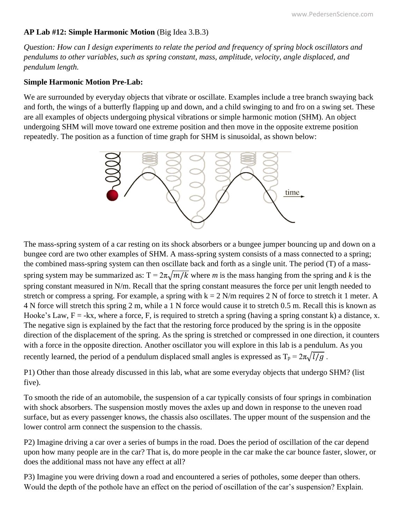## **AP Lab #12: Simple Harmonic Motion** (Big Idea 3.B.3)

*Question: How can I design experiments to relate the period and frequency of spring block oscillators and pendulums to other variables, such as spring constant, mass, amplitude, velocity, angle displaced, and pendulum length.*

## **Simple Harmonic Motion Pre-Lab:**

We are surrounded by everyday objects that vibrate or oscillate. Examples include a tree branch swaying back and forth, the wings of a butterfly flapping up and down, and a child swinging to and fro on a swing set. These are all examples of objects undergoing physical vibrations or simple harmonic motion (SHM). An object undergoing SHM will move toward one extreme position and then move in the opposite extreme position repeatedly. The position as a function of time graph for SHM is sinusoidal, as shown below:



The mass-spring system of a car resting on its shock absorbers or a bungee jumper bouncing up and down on a bungee cord are two other examples of SHM. A mass-spring system consists of a mass connected to a spring; the combined mass-spring system can then oscillate back and forth as a single unit. The period (T) of a massspring system may be summarized as:  $T = 2\pi \sqrt{m/k}$  where *m* is the mass hanging from the spring and *k* is the spring constant measured in N/m. Recall that the spring constant measures the force per unit length needed to stretch or compress a spring. For example, a spring with  $k = 2$  N/m requires 2 N of force to stretch it 1 meter. A 4 N force will stretch this spring 2 m, while a 1 N force would cause it to stretch 0.5 m. Recall this is known as Hooke's Law,  $F = -kx$ , where a force, F, is required to stretch a spring (having a spring constant k) a distance, x. The negative sign is explained by the fact that the restoring force produced by the spring is in the opposite direction of the displacement of the spring. As the spring is stretched or compressed in one direction, it counters with a force in the opposite direction. Another oscillator you will explore in this lab is a pendulum. As you recently learned, the period of a pendulum displaced small angles is expressed as  $T_p = 2\pi \sqrt{l/g}$ .

P1) Other than those already discussed in this lab, what are some everyday objects that undergo SHM? (list five).

To smooth the ride of an automobile, the suspension of a car typically consists of four springs in combination with shock absorbers. The suspension mostly moves the axles up and down in response to the uneven road surface, but as every passenger knows, the chassis also oscillates. The upper mount of the suspension and the lower control arm connect the suspension to the chassis.

P2) Imagine driving a car over a series of bumps in the road. Does the period of oscillation of the car depend upon how many people are in the car? That is, do more people in the car make the car bounce faster, slower, or does the additional mass not have any effect at all?

P3) Imagine you were driving down a road and encountered a series of potholes, some deeper than others. Would the depth of the pothole have an effect on the period of oscillation of the car's suspension? Explain.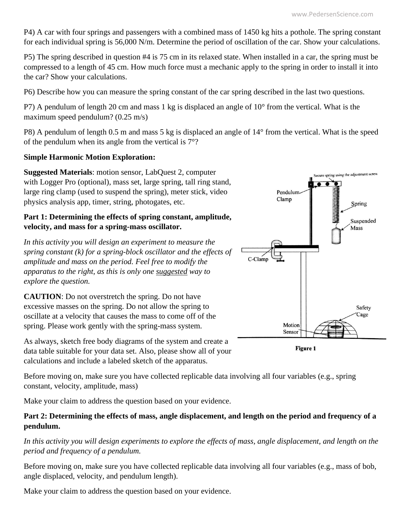P4) A car with four springs and passengers with a combined mass of 1450 kg hits a pothole. The spring constant for each individual spring is 56,000 N/m. Determine the period of oscillation of the car. Show your calculations.

P5) The spring described in question #4 is 75 cm in its relaxed state. When installed in a car, the spring must be compressed to a length of 45 cm. How much force must a mechanic apply to the spring in order to install it into the car? Show your calculations.

P6) Describe how you can measure the spring constant of the car spring described in the last two questions.

P7) A pendulum of length 20 cm and mass 1 kg is displaced an angle of 10° from the vertical. What is the maximum speed pendulum? (0.25 m/s)

P8) A pendulum of length 0.5 m and mass 5 kg is displaced an angle of 14° from the vertical. What is the speed of the pendulum when its angle from the vertical is 7°?

## **Simple Harmonic Motion Exploration:**

**Suggested Materials**: motion sensor, LabQuest 2, computer with Logger Pro (optional), mass set, large spring, tall ring stand, large ring clamp (used to suspend the spring), meter stick, video physics analysis app, timer, string, photogates, etc.

## **Part 1: Determining the effects of spring constant, amplitude, velocity, and mass for a spring-mass oscillator.**

*In this activity you will design an experiment to measure the spring constant (k) for a spring-block oscillator and the effects of amplitude and mass on the period. Feel free to modify the apparatus to the right, as this is only one suggested way to explore the question.*

**CAUTION**: Do not overstretch the spring. Do not have excessive masses on the spring. Do not allow the spring to oscillate at a velocity that causes the mass to come off of the spring. Please work gently with the spring-mass system.

As always, sketch free body diagrams of the system and create a data table suitable for your data set. Also, please show all of your calculations and include a labeled sketch of the apparatus.

Before moving on, make sure you have collected replicable data involving all four variables (e.g., spring constant, velocity, amplitude, mass)

Make your claim to address the question based on your evidence.

# **Part 2: Determining the effects of mass, angle displacement, and length on the period and frequency of a pendulum.**

*In this activity you will design experiments to explore the effects of mass, angle displacement, and length on the period and frequency of a pendulum.*

Before moving on, make sure you have collected replicable data involving all four variables (e.g., mass of bob, angle displaced, velocity, and pendulum length).

Make your claim to address the question based on your evidence.